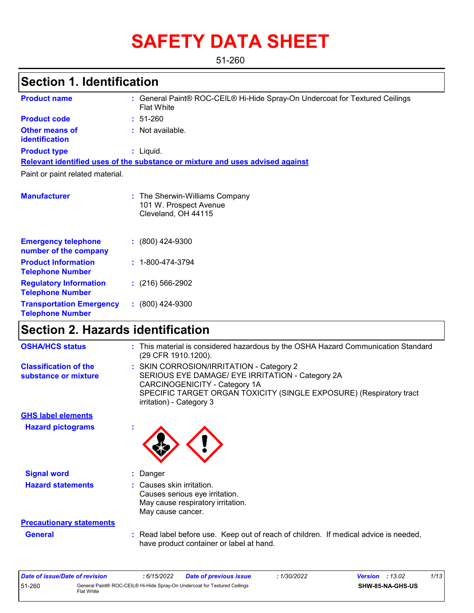# **SAFETY DATA SHEET**

51-260

# **Section 1. Identification**

| <b>Product name</b>                                      | : General Paint® ROC-CEIL® Hi-Hide Spray-On Undercoat for Textured Ceilings<br><b>Flat White</b> |
|----------------------------------------------------------|--------------------------------------------------------------------------------------------------|
| <b>Product code</b>                                      | $: 51-260$                                                                                       |
| <b>Other means of</b><br><b>identification</b>           | : Not available.                                                                                 |
| <b>Product type</b>                                      | $:$ Liquid.                                                                                      |
|                                                          | Relevant identified uses of the substance or mixture and uses advised against                    |
| Paint or paint related material.                         |                                                                                                  |
| <b>Manufacturer</b>                                      | : The Sherwin-Williams Company<br>101 W. Prospect Avenue<br>Cleveland, OH 44115                  |
| <b>Emergency telephone</b><br>number of the company      | $: (800)$ 424-9300                                                                               |
| <b>Product Information</b><br><b>Telephone Number</b>    | $: 1 - 800 - 474 - 3794$                                                                         |
| <b>Regulatory Information</b><br><b>Telephone Number</b> | $: (216) 566 - 2902$                                                                             |

# **Section 2. Hazards identification**

**:** (800) 424-9300

**Transportation Emergency Telephone Number**

| <b>OSHA/HCS status</b>                               |              | : This material is considered hazardous by the OSHA Hazard Communication Standard<br>(29 CFR 1910.1200).                                                                                                                         |
|------------------------------------------------------|--------------|----------------------------------------------------------------------------------------------------------------------------------------------------------------------------------------------------------------------------------|
| <b>Classification of the</b><br>substance or mixture |              | : SKIN CORROSION/IRRITATION - Category 2<br>SERIOUS EYE DAMAGE/ EYE IRRITATION - Category 2A<br>CARCINOGENICITY - Category 1A<br>SPECIFIC TARGET ORGAN TOXICITY (SINGLE EXPOSURE) (Respiratory tract<br>irritation) - Category 3 |
| <b>GHS label elements</b>                            |              |                                                                                                                                                                                                                                  |
| <b>Hazard pictograms</b>                             | $\mathbf{r}$ |                                                                                                                                                                                                                                  |
| <b>Signal word</b>                                   |              | : Danger                                                                                                                                                                                                                         |
| <b>Hazard statements</b>                             |              | : Causes skin irritation.<br>Causes serious eye irritation.<br>May cause respiratory irritation.<br>May cause cancer.                                                                                                            |
| <b>Precautionary statements</b>                      |              |                                                                                                                                                                                                                                  |
| <b>General</b>                                       |              | : Read label before use. Keep out of reach of children. If medical advice is needed,<br>have product container or label at hand.                                                                                                 |

| Date of issue/Date of revision |              | 6/15/2022 | <b>Date of previous issue</b>                                             | 1/30/2022 | <b>Version</b> : $13.02$ |                         | 1/13 |
|--------------------------------|--------------|-----------|---------------------------------------------------------------------------|-----------|--------------------------|-------------------------|------|
| 51-260                         | Flat White l |           | General Paint® ROC-CEIL® Hi-Hide Spray-On Undercoat for Textured Ceilings |           |                          | <b>SHW-85-NA-GHS-US</b> |      |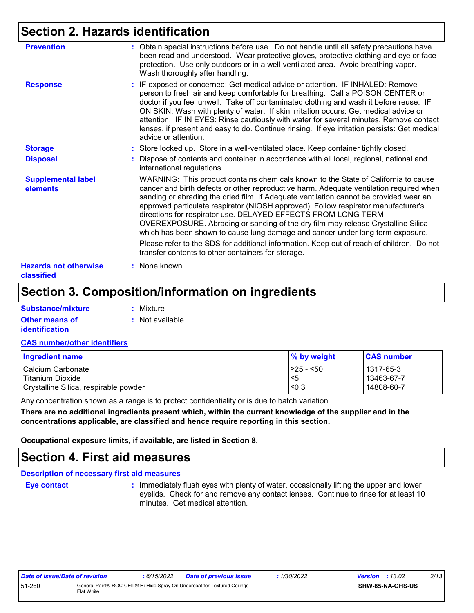# **Section 2. Hazards identification**

| <b>Prevention</b>                          | : Obtain special instructions before use. Do not handle until all safety precautions have<br>been read and understood. Wear protective gloves, protective clothing and eye or face<br>protection. Use only outdoors or in a well-ventilated area. Avoid breathing vapor.<br>Wash thoroughly after handling.                                                                                                                                                                                                                                                                                          |
|--------------------------------------------|------------------------------------------------------------------------------------------------------------------------------------------------------------------------------------------------------------------------------------------------------------------------------------------------------------------------------------------------------------------------------------------------------------------------------------------------------------------------------------------------------------------------------------------------------------------------------------------------------|
| <b>Response</b>                            | : IF exposed or concerned: Get medical advice or attention. IF INHALED: Remove<br>person to fresh air and keep comfortable for breathing. Call a POISON CENTER or<br>doctor if you feel unwell. Take off contaminated clothing and wash it before reuse. IF<br>ON SKIN: Wash with plenty of water. If skin irritation occurs: Get medical advice or<br>attention. IF IN EYES: Rinse cautiously with water for several minutes. Remove contact<br>lenses, if present and easy to do. Continue rinsing. If eye irritation persists: Get medical<br>advice or attention.                                |
| <b>Storage</b>                             | : Store locked up. Store in a well-ventilated place. Keep container tightly closed.                                                                                                                                                                                                                                                                                                                                                                                                                                                                                                                  |
| <b>Disposal</b>                            | : Dispose of contents and container in accordance with all local, regional, national and<br>international regulations.                                                                                                                                                                                                                                                                                                                                                                                                                                                                               |
| <b>Supplemental label</b><br>elements      | WARNING: This product contains chemicals known to the State of California to cause<br>cancer and birth defects or other reproductive harm. Adequate ventilation required when<br>sanding or abrading the dried film. If Adequate ventilation cannot be provided wear an<br>approved particulate respirator (NIOSH approved). Follow respirator manufacturer's<br>directions for respirator use. DELAYED EFFECTS FROM LONG TERM<br>OVEREXPOSURE. Abrading or sanding of the dry film may release Crystalline Silica<br>which has been shown to cause lung damage and cancer under long term exposure. |
|                                            | Please refer to the SDS for additional information. Keep out of reach of children. Do not<br>transfer contents to other containers for storage.                                                                                                                                                                                                                                                                                                                                                                                                                                                      |
| <b>Hazards not otherwise</b><br>classified | : None known.                                                                                                                                                                                                                                                                                                                                                                                                                                                                                                                                                                                        |

# **Section 3. Composition/information on ingredients**

| Substance/mixture     | : Mixture        |
|-----------------------|------------------|
| <b>Other means of</b> | : Not available. |
| <i>identification</i> |                  |

#### **CAS number/other identifiers**

| <b>Ingredient name</b>                | $\%$ by weight | <b>CAS number</b> |
|---------------------------------------|----------------|-------------------|
| l Calcium Carbonate                   | 1≥25 - ≤50     | l 1317-65-3       |
| l Titanium Dioxide                    | 5≥ا            | 13463-67-7        |
| Crystalline Silica, respirable powder | ≤0.3           | 14808-60-7        |

Any concentration shown as a range is to protect confidentiality or is due to batch variation.

**There are no additional ingredients present which, within the current knowledge of the supplier and in the concentrations applicable, are classified and hence require reporting in this section.**

**Occupational exposure limits, if available, are listed in Section 8.**

### **Section 4. First aid measures**

**Description of necessary first aid measures**

**Eye contact :**

: Immediately flush eyes with plenty of water, occasionally lifting the upper and lower eyelids. Check for and remove any contact lenses. Continue to rinse for at least 10 minutes. Get medical attention.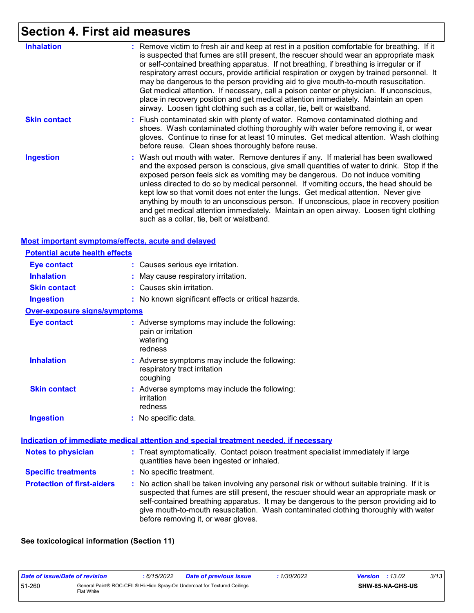# **Section 4. First aid measures**

| <b>Inhalation</b>   | : Remove victim to fresh air and keep at rest in a position comfortable for breathing. If it<br>is suspected that fumes are still present, the rescuer should wear an appropriate mask<br>or self-contained breathing apparatus. If not breathing, if breathing is irregular or if<br>respiratory arrest occurs, provide artificial respiration or oxygen by trained personnel. It<br>may be dangerous to the person providing aid to give mouth-to-mouth resuscitation.<br>Get medical attention. If necessary, call a poison center or physician. If unconscious,<br>place in recovery position and get medical attention immediately. Maintain an open<br>airway. Loosen tight clothing such as a collar, tie, belt or waistband. |
|---------------------|--------------------------------------------------------------------------------------------------------------------------------------------------------------------------------------------------------------------------------------------------------------------------------------------------------------------------------------------------------------------------------------------------------------------------------------------------------------------------------------------------------------------------------------------------------------------------------------------------------------------------------------------------------------------------------------------------------------------------------------|
| <b>Skin contact</b> | : Flush contaminated skin with plenty of water. Remove contaminated clothing and<br>shoes. Wash contaminated clothing thoroughly with water before removing it, or wear<br>gloves. Continue to rinse for at least 10 minutes. Get medical attention. Wash clothing<br>before reuse. Clean shoes thoroughly before reuse.                                                                                                                                                                                                                                                                                                                                                                                                             |
| <b>Ingestion</b>    | : Wash out mouth with water. Remove dentures if any. If material has been swallowed<br>and the exposed person is conscious, give small quantities of water to drink. Stop if the<br>exposed person feels sick as vomiting may be dangerous. Do not induce vomiting<br>unless directed to do so by medical personnel. If vomiting occurs, the head should be<br>kept low so that vomit does not enter the lungs. Get medical attention. Never give<br>anything by mouth to an unconscious person. If unconscious, place in recovery position<br>and get medical attention immediately. Maintain an open airway. Loosen tight clothing<br>such as a collar, tie, belt or waistband.                                                    |

#### **Most important symptoms/effects, acute and delayed**

| <b>Potential acute health effects</b> |                                                                                                                                                                                                                                                                                                                                                                                                                 |
|---------------------------------------|-----------------------------------------------------------------------------------------------------------------------------------------------------------------------------------------------------------------------------------------------------------------------------------------------------------------------------------------------------------------------------------------------------------------|
| <b>Eye contact</b>                    | : Causes serious eye irritation.                                                                                                                                                                                                                                                                                                                                                                                |
| <b>Inhalation</b>                     | : May cause respiratory irritation.                                                                                                                                                                                                                                                                                                                                                                             |
| <b>Skin contact</b>                   | : Causes skin irritation.                                                                                                                                                                                                                                                                                                                                                                                       |
| <b>Ingestion</b>                      | : No known significant effects or critical hazards.                                                                                                                                                                                                                                                                                                                                                             |
| <b>Over-exposure signs/symptoms</b>   |                                                                                                                                                                                                                                                                                                                                                                                                                 |
| <b>Eye contact</b>                    | : Adverse symptoms may include the following:<br>pain or irritation<br>watering<br>redness                                                                                                                                                                                                                                                                                                                      |
| <b>Inhalation</b>                     | : Adverse symptoms may include the following:<br>respiratory tract irritation<br>coughing                                                                                                                                                                                                                                                                                                                       |
| <b>Skin contact</b>                   | : Adverse symptoms may include the following:<br>irritation<br>redness                                                                                                                                                                                                                                                                                                                                          |
| <b>Ingestion</b>                      | : No specific data.                                                                                                                                                                                                                                                                                                                                                                                             |
|                                       | <b>Indication of immediate medical attention and special treatment needed, if necessary</b>                                                                                                                                                                                                                                                                                                                     |
| <b>Notes to physician</b>             | : Treat symptomatically. Contact poison treatment specialist immediately if large<br>quantities have been ingested or inhaled.                                                                                                                                                                                                                                                                                  |
| <b>Specific treatments</b>            | : No specific treatment.                                                                                                                                                                                                                                                                                                                                                                                        |
| <b>Protection of first-aiders</b>     | : No action shall be taken involving any personal risk or without suitable training. If it is<br>suspected that fumes are still present, the rescuer should wear an appropriate mask or<br>self-contained breathing apparatus. It may be dangerous to the person providing aid to<br>give mouth-to-mouth resuscitation. Wash contaminated clothing thoroughly with water<br>before removing it, or wear gloves. |

### **See toxicological information (Section 11)**

| Date of issue/Date of revision |            | : 6/15/2022 | <b>Date of previous issue</b>                                             | : 1/30/2022 | <b>Version</b> : $13.02$ |                         | 3/13 |
|--------------------------------|------------|-------------|---------------------------------------------------------------------------|-------------|--------------------------|-------------------------|------|
| 51-260                         | Flat White |             | General Paint® ROC-CEIL® Hi-Hide Spray-On Undercoat for Textured Ceilings |             |                          | <b>SHW-85-NA-GHS-US</b> |      |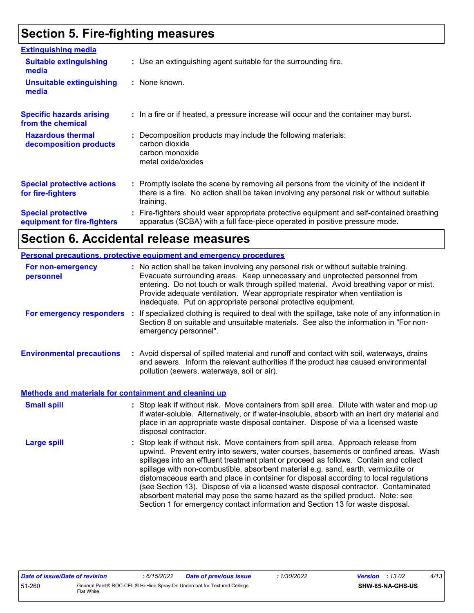# **Section 5. Fire-fighting measures**

| <b>Extinguishing media</b>                               |                                                                                                                                                                                                     |
|----------------------------------------------------------|-----------------------------------------------------------------------------------------------------------------------------------------------------------------------------------------------------|
| <b>Suitable extinguishing</b><br>media                   | : Use an extinguishing agent suitable for the surrounding fire.                                                                                                                                     |
| <b>Unsuitable extinguishing</b><br>media                 | : None known.                                                                                                                                                                                       |
| <b>Specific hazards arising</b><br>from the chemical     | : In a fire or if heated, a pressure increase will occur and the container may burst.                                                                                                               |
| <b>Hazardous thermal</b><br>decomposition products       | : Decomposition products may include the following materials:<br>carbon dioxide<br>carbon monoxide<br>metal oxide/oxides                                                                            |
| <b>Special protective actions</b><br>for fire-fighters   | : Promptly isolate the scene by removing all persons from the vicinity of the incident if<br>there is a fire. No action shall be taken involving any personal risk or without suitable<br>training. |
| <b>Special protective</b><br>equipment for fire-fighters | Fire-fighters should wear appropriate protective equipment and self-contained breathing<br>apparatus (SCBA) with a full face-piece operated in positive pressure mode.                              |

# **Section 6. Accidental release measures**

|                                                              | Personal precautions, protective equipment and emergency procedures                                                                                                                                                                                                                                                                                                                                                                                                                                                                                                                                                                                                                                          |  |
|--------------------------------------------------------------|--------------------------------------------------------------------------------------------------------------------------------------------------------------------------------------------------------------------------------------------------------------------------------------------------------------------------------------------------------------------------------------------------------------------------------------------------------------------------------------------------------------------------------------------------------------------------------------------------------------------------------------------------------------------------------------------------------------|--|
| For non-emergency<br>personnel                               | : No action shall be taken involving any personal risk or without suitable training.<br>Evacuate surrounding areas. Keep unnecessary and unprotected personnel from<br>entering. Do not touch or walk through spilled material. Avoid breathing vapor or mist.<br>Provide adequate ventilation. Wear appropriate respirator when ventilation is<br>inadequate. Put on appropriate personal protective equipment.                                                                                                                                                                                                                                                                                             |  |
| For emergency responders                                     | : If specialized clothing is required to deal with the spillage, take note of any information in<br>Section 8 on suitable and unsuitable materials. See also the information in "For non-<br>emergency personnel".                                                                                                                                                                                                                                                                                                                                                                                                                                                                                           |  |
| <b>Environmental precautions</b>                             | : Avoid dispersal of spilled material and runoff and contact with soil, waterways, drains<br>and sewers. Inform the relevant authorities if the product has caused environmental<br>pollution (sewers, waterways, soil or air).                                                                                                                                                                                                                                                                                                                                                                                                                                                                              |  |
| <b>Methods and materials for containment and cleaning up</b> |                                                                                                                                                                                                                                                                                                                                                                                                                                                                                                                                                                                                                                                                                                              |  |
| <b>Small spill</b>                                           | : Stop leak if without risk. Move containers from spill area. Dilute with water and mop up<br>if water-soluble. Alternatively, or if water-insoluble, absorb with an inert dry material and<br>place in an appropriate waste disposal container. Dispose of via a licensed waste<br>disposal contractor.                                                                                                                                                                                                                                                                                                                                                                                                     |  |
| <b>Large spill</b>                                           | : Stop leak if without risk. Move containers from spill area. Approach release from<br>upwind. Prevent entry into sewers, water courses, basements or confined areas. Wash<br>spillages into an effluent treatment plant or proceed as follows. Contain and collect<br>spillage with non-combustible, absorbent material e.g. sand, earth, vermiculite or<br>diatomaceous earth and place in container for disposal according to local regulations<br>(see Section 13). Dispose of via a licensed waste disposal contractor. Contaminated<br>absorbent material may pose the same hazard as the spilled product. Note: see<br>Section 1 for emergency contact information and Section 13 for waste disposal. |  |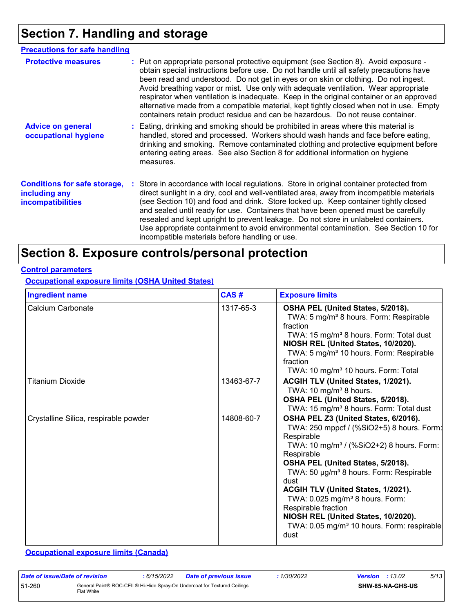# **Section 7. Handling and storage**

| <b>Precautions for safe handling</b>                                             |                                                                                                                                                                                                                                                                                                                                                                                                                                                                                                                                                                                                                                         |
|----------------------------------------------------------------------------------|-----------------------------------------------------------------------------------------------------------------------------------------------------------------------------------------------------------------------------------------------------------------------------------------------------------------------------------------------------------------------------------------------------------------------------------------------------------------------------------------------------------------------------------------------------------------------------------------------------------------------------------------|
| <b>Protective measures</b>                                                       | : Put on appropriate personal protective equipment (see Section 8). Avoid exposure -<br>obtain special instructions before use. Do not handle until all safety precautions have<br>been read and understood. Do not get in eyes or on skin or clothing. Do not ingest.<br>Avoid breathing vapor or mist. Use only with adequate ventilation. Wear appropriate<br>respirator when ventilation is inadequate. Keep in the original container or an approved<br>alternative made from a compatible material, kept tightly closed when not in use. Empty<br>containers retain product residue and can be hazardous. Do not reuse container. |
| <b>Advice on general</b><br>occupational hygiene                                 | : Eating, drinking and smoking should be prohibited in areas where this material is<br>handled, stored and processed. Workers should wash hands and face before eating,<br>drinking and smoking. Remove contaminated clothing and protective equipment before<br>entering eating areas. See also Section 8 for additional information on hygiene<br>measures.                                                                                                                                                                                                                                                                           |
| <b>Conditions for safe storage,</b><br>including any<br><i>incompatibilities</i> | : Store in accordance with local regulations. Store in original container protected from<br>direct sunlight in a dry, cool and well-ventilated area, away from incompatible materials<br>(see Section 10) and food and drink. Store locked up. Keep container tightly closed<br>and sealed until ready for use. Containers that have been opened must be carefully<br>resealed and kept upright to prevent leakage. Do not store in unlabeled containers.<br>Use appropriate containment to avoid environmental contamination. See Section 10 for<br>incompatible materials before handling or use.                                     |

# **Section 8. Exposure controls/personal protection**

#### **Control parameters**

**Occupational exposure limits (OSHA United States)**

| <b>Ingredient name</b>                | CAS#       | <b>Exposure limits</b>                                                                                                                                                                                                                                                                                                                                                                                                                                                                         |
|---------------------------------------|------------|------------------------------------------------------------------------------------------------------------------------------------------------------------------------------------------------------------------------------------------------------------------------------------------------------------------------------------------------------------------------------------------------------------------------------------------------------------------------------------------------|
| Calcium Carbonate                     | 1317-65-3  | OSHA PEL (United States, 5/2018).<br>TWA: 5 mg/m <sup>3</sup> 8 hours. Form: Respirable<br>fraction<br>TWA: 15 mg/m <sup>3</sup> 8 hours. Form: Total dust<br>NIOSH REL (United States, 10/2020).<br>TWA: 5 mg/m <sup>3</sup> 10 hours. Form: Respirable<br>fraction<br>TWA: 10 mg/m <sup>3</sup> 10 hours. Form: Total                                                                                                                                                                        |
| Titanium Dioxide                      | 13463-67-7 | <b>ACGIH TLV (United States, 1/2021).</b><br>TWA: 10 mg/m <sup>3</sup> 8 hours.<br>OSHA PEL (United States, 5/2018).<br>TWA: 15 mg/m <sup>3</sup> 8 hours. Form: Total dust                                                                                                                                                                                                                                                                                                                    |
| Crystalline Silica, respirable powder | 14808-60-7 | OSHA PEL Z3 (United States, 6/2016).<br>TWA: 250 mppcf / (%SiO2+5) 8 hours. Form:<br>Respirable<br>TWA: 10 mg/m <sup>3</sup> / (%SiO2+2) 8 hours. Form:<br>Respirable<br>OSHA PEL (United States, 5/2018).<br>TWA: 50 µg/m <sup>3</sup> 8 hours. Form: Respirable<br>dust<br>ACGIH TLV (United States, 1/2021).<br>TWA: 0.025 mg/m <sup>3</sup> 8 hours. Form:<br>Respirable fraction<br>NIOSH REL (United States, 10/2020).<br>TWA: 0.05 mg/m <sup>3</sup> 10 hours. Form: respirable<br>dust |

**Occupational exposure limits (Canada)**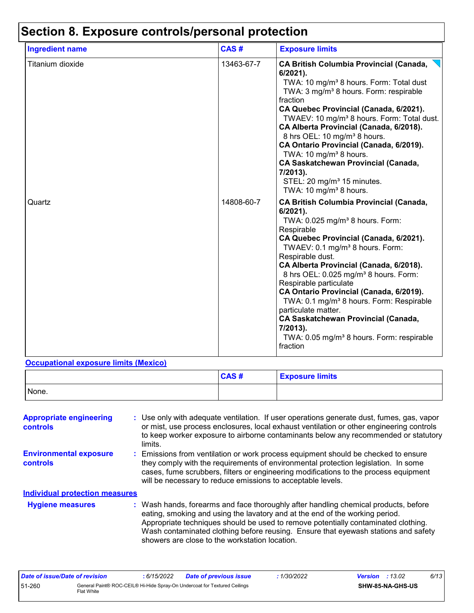| <b>Ingredient name</b> | CAS#       | <b>Exposure limits</b>                                                                                                                                                                                                                                                                                                                                                                                                                                                                                                                                                                                       |  |  |
|------------------------|------------|--------------------------------------------------------------------------------------------------------------------------------------------------------------------------------------------------------------------------------------------------------------------------------------------------------------------------------------------------------------------------------------------------------------------------------------------------------------------------------------------------------------------------------------------------------------------------------------------------------------|--|--|
| Titanium dioxide       | 13463-67-7 | <b>CA British Columbia Provincial (Canada,</b><br>$6/2021$ ).<br>TWA: 10 mg/m <sup>3</sup> 8 hours. Form: Total dust<br>TWA: 3 mg/m <sup>3</sup> 8 hours. Form: respirable<br>fraction<br>CA Quebec Provincial (Canada, 6/2021).<br>TWAEV: 10 mg/m <sup>3</sup> 8 hours. Form: Total dust.<br>CA Alberta Provincial (Canada, 6/2018).<br>8 hrs OEL: 10 mg/m <sup>3</sup> 8 hours.<br>CA Ontario Provincial (Canada, 6/2019).<br>TWA: 10 mg/m <sup>3</sup> 8 hours.<br><b>CA Saskatchewan Provincial (Canada,</b><br>7/2013).<br>STEL: 20 mg/m <sup>3</sup> 15 minutes.<br>TWA: 10 mg/m <sup>3</sup> 8 hours. |  |  |
| Quartz                 | 14808-60-7 | <b>CA British Columbia Provincial (Canada,</b><br>$6/2021$ ).<br>TWA: $0.025$ mg/m <sup>3</sup> 8 hours. Form:<br>Respirable<br>CA Quebec Provincial (Canada, 6/2021).<br>TWAEV: 0.1 mg/m <sup>3</sup> 8 hours. Form:<br>Respirable dust.                                                                                                                                                                                                                                                                                                                                                                    |  |  |

#### **Occupational exposure limits (Mexico)**

|       | CAS# | <b>Exposure limits</b> |
|-------|------|------------------------|
| None. |      |                        |

**CA Alberta Provincial (Canada, 6/2018).** 8 hrs OEL: 0.025 mg/m<sup>3</sup> 8 hours. Form:

**CA Ontario Provincial (Canada, 6/2019).** TWA: 0.1 mg/m<sup>3</sup> 8 hours. Form: Respirable

**CA Saskatchewan Provincial (Canada,**

TWA: 0.05 mg/m<sup>3</sup> 8 hours. Form: respirable

Respirable particulate

particulate matter.

**7/2013).**

fraction

| <b>Appropriate engineering</b><br>controls |  | : Use only with adequate ventilation. If user operations generate dust, fumes, gas, vapor<br>or mist, use process enclosures, local exhaust ventilation or other engineering controls<br>to keep worker exposure to airborne contaminants below any recommended or statutory<br>limits.                                                                                                           |
|--------------------------------------------|--|---------------------------------------------------------------------------------------------------------------------------------------------------------------------------------------------------------------------------------------------------------------------------------------------------------------------------------------------------------------------------------------------------|
| <b>Environmental exposure</b><br>controls  |  | : Emissions from ventilation or work process equipment should be checked to ensure<br>they comply with the requirements of environmental protection legislation. In some<br>cases, fume scrubbers, filters or engineering modifications to the process equipment<br>will be necessary to reduce emissions to acceptable levels.                                                                   |
| <b>Individual protection measures</b>      |  |                                                                                                                                                                                                                                                                                                                                                                                                   |
| <b>Hygiene measures</b>                    |  | : Wash hands, forearms and face thoroughly after handling chemical products, before<br>eating, smoking and using the lavatory and at the end of the working period.<br>Appropriate techniques should be used to remove potentially contaminated clothing.<br>Wash contaminated clothing before reusing. Ensure that eyewash stations and safety<br>showers are close to the workstation location. |

| Date of issue/Date of revision |            | 6/15/2022 | <b>Date of previous issue</b>                                             | : 1/30/2022 | <b>Version</b> : 13.02 |                         | 6/13 |
|--------------------------------|------------|-----------|---------------------------------------------------------------------------|-------------|------------------------|-------------------------|------|
| 51-260                         | Flat White |           | General Paint® ROC-CEIL® Hi-Hide Spray-On Undercoat for Textured Ceilings |             |                        | <b>SHW-85-NA-GHS-US</b> |      |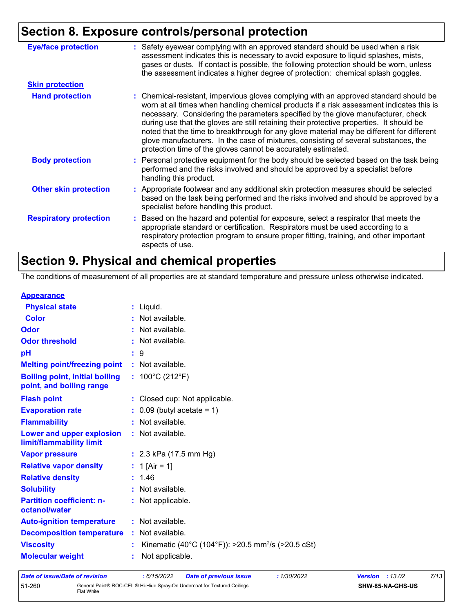# **Section 8. Exposure controls/personal protection**

| <b>Eye/face protection</b>    | : Safety eyewear complying with an approved standard should be used when a risk<br>assessment indicates this is necessary to avoid exposure to liquid splashes, mists,<br>gases or dusts. If contact is possible, the following protection should be worn, unless<br>the assessment indicates a higher degree of protection: chemical splash goggles.                                                                                                                                                                                                                                                                  |
|-------------------------------|------------------------------------------------------------------------------------------------------------------------------------------------------------------------------------------------------------------------------------------------------------------------------------------------------------------------------------------------------------------------------------------------------------------------------------------------------------------------------------------------------------------------------------------------------------------------------------------------------------------------|
| <b>Skin protection</b>        |                                                                                                                                                                                                                                                                                                                                                                                                                                                                                                                                                                                                                        |
| <b>Hand protection</b>        | : Chemical-resistant, impervious gloves complying with an approved standard should be<br>worn at all times when handling chemical products if a risk assessment indicates this is<br>necessary. Considering the parameters specified by the glove manufacturer, check<br>during use that the gloves are still retaining their protective properties. It should be<br>noted that the time to breakthrough for any glove material may be different for different<br>glove manufacturers. In the case of mixtures, consisting of several substances, the<br>protection time of the gloves cannot be accurately estimated. |
| <b>Body protection</b>        | : Personal protective equipment for the body should be selected based on the task being<br>performed and the risks involved and should be approved by a specialist before<br>handling this product.                                                                                                                                                                                                                                                                                                                                                                                                                    |
| <b>Other skin protection</b>  | : Appropriate footwear and any additional skin protection measures should be selected<br>based on the task being performed and the risks involved and should be approved by a<br>specialist before handling this product.                                                                                                                                                                                                                                                                                                                                                                                              |
| <b>Respiratory protection</b> | : Based on the hazard and potential for exposure, select a respirator that meets the<br>appropriate standard or certification. Respirators must be used according to a<br>respiratory protection program to ensure proper fitting, training, and other important<br>aspects of use.                                                                                                                                                                                                                                                                                                                                    |

# **Section 9. Physical and chemical properties**

The conditions of measurement of all properties are at standard temperature and pressure unless otherwise indicated.

#### **Appearance**

| <b>Physical state</b>                                             | $:$ Liquid.                                                    |
|-------------------------------------------------------------------|----------------------------------------------------------------|
| <b>Color</b>                                                      | : Not available.                                               |
| Odor                                                              | : Not available.                                               |
| <b>Odor threshold</b>                                             | : Not available.                                               |
| рH                                                                | :9                                                             |
| <b>Melting point/freezing point</b>                               | : Not available.                                               |
| <b>Boiling point, initial boiling</b><br>point, and boiling range | : $100^{\circ}$ C (212 $^{\circ}$ F)                           |
| <b>Flash point</b>                                                | : Closed cup: Not applicable.                                  |
| <b>Evaporation rate</b>                                           | $\therefore$ 0.09 (butyl acetate = 1)                          |
| <b>Flammability</b>                                               | : Not available.                                               |
| Lower and upper explosion<br>limit/flammability limit             | : Not available.                                               |
| <b>Vapor pressure</b>                                             | : $2.3$ kPa (17.5 mm Hg)                                       |
| <b>Relative vapor density</b>                                     | : 1 [Air = 1]                                                  |
| <b>Relative density</b>                                           | : 1.46                                                         |
| <b>Solubility</b>                                                 | : Not available.                                               |
| <b>Partition coefficient: n-</b><br>octanol/water                 | : Not applicable.                                              |
| <b>Auto-ignition temperature</b>                                  | : Not available.                                               |
| <b>Decomposition temperature</b>                                  | : Not available.                                               |
| <b>Viscosity</b>                                                  | Kinematic (40°C (104°F)): >20.5 mm <sup>2</sup> /s (>20.5 cSt) |
| <b>Molecular weight</b>                                           | Not applicable.                                                |
|                                                                   |                                                                |

| Date of issue/Date of revision |            | : 6/15/2022 | <b>Date of previous issue</b>                                             | 1/30/2022 | <b>Version</b> : $13.02$ |                         | 7/13 |
|--------------------------------|------------|-------------|---------------------------------------------------------------------------|-----------|--------------------------|-------------------------|------|
| 51-260                         | Flat White |             | General Paint® ROC-CEIL® Hi-Hide Spray-On Undercoat for Textured Ceilings |           |                          | <b>SHW-85-NA-GHS-US</b> |      |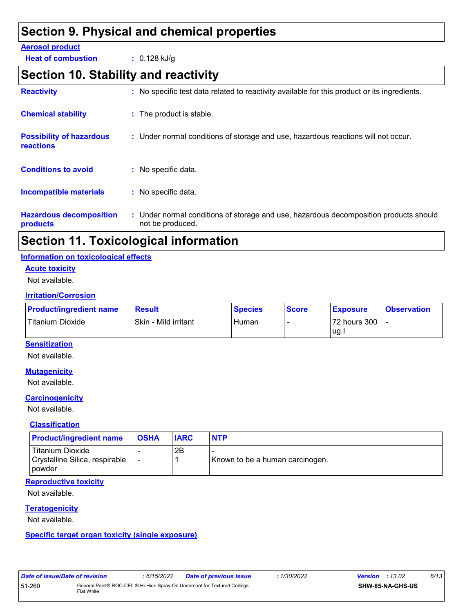# **Section 9. Physical and chemical properties**

#### **Aerosol product**

**Heat of combustion :** 0.128 kJ/g

# **Section 10. Stability and reactivity**

| <b>Possibility of hazardous</b><br><b>reactions</b> | : Under normal conditions of storage and use, hazardous reactions will not occur.     |
|-----------------------------------------------------|---------------------------------------------------------------------------------------|
|                                                     |                                                                                       |
| <b>Conditions to avoid</b>                          | $:$ No specific data.                                                                 |
| <b>Incompatible materials</b>                       | : No specific data.                                                                   |
| <b>Hazardous decomposition</b>                      | : Under normal conditions of storage and use, hazardous decomposition products should |

# **Section 11. Toxicological information**

#### **Information on toxicological effects**

#### **Acute toxicity**

Not available.

#### **Irritation/Corrosion**

| <b>Product/ingredient name</b> | <b>Result</b>        | <b>Species</b> | <b>Score</b> | <b>Exposure</b> | <b>Observation</b> |
|--------------------------------|----------------------|----------------|--------------|-----------------|--------------------|
| Titanium Dioxide               | Skin - Mild irritant | Human          |              | 72 hours 300    |                    |
|                                |                      |                |              | ∪g.             |                    |

#### **Sensitization**

Not available.

#### **Mutagenicity**

Not available.

#### **Carcinogenicity**

Not available.

#### **Classification**

| <b>Product/ingredient name</b>                                        | <b>OSHA</b> | <b>IARC</b> | <b>NTP</b>                      |
|-----------------------------------------------------------------------|-------------|-------------|---------------------------------|
| <b>Titanium Dioxide</b><br>Crystalline Silica, respirable<br>l powder |             | 2Β          | Known to be a human carcinogen. |

#### **Reproductive toxicity**

Not available.

#### **Teratogenicity**

Not available.

#### **Specific target organ toxicity (single exposure)**

| Date of issue/Date of revision |            | : 6/15/2022 | <b>Date of previous issue</b>                                             | : 1/30/2022 | <b>Version</b> : 13.02 |                         | 8/13 |  |
|--------------------------------|------------|-------------|---------------------------------------------------------------------------|-------------|------------------------|-------------------------|------|--|
| 51-260                         | Flat White |             | General Paint® ROC-CEIL® Hi-Hide Spray-On Undercoat for Textured Ceilings |             |                        | <b>SHW-85-NA-GHS-US</b> |      |  |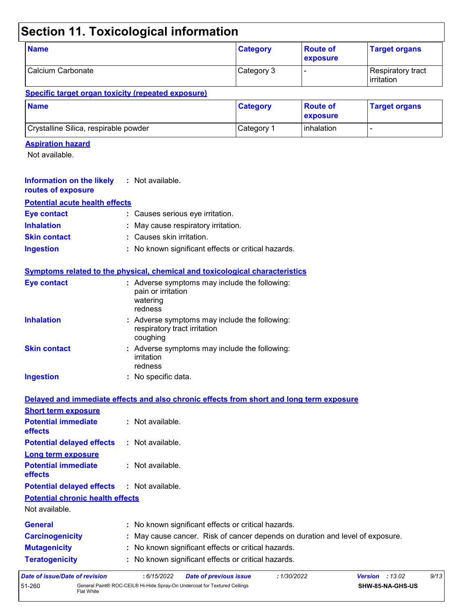# **Section 11. Toxicological information**

| <b>Name</b>       | <b>Category</b> | <b>Route of</b><br>exposure | <b>Target organs</b>              |
|-------------------|-----------------|-----------------------------|-----------------------------------|
| Calcium Carbonate | Category 3      |                             | Respiratory tract<br>l irritation |

#### **Specific target organ toxicity (repeated exposure)**

| <b>Name</b>                           | <b>Category</b> | <b>Route of</b><br><b>Lexposure</b> | <b>Target organs</b> |
|---------------------------------------|-----------------|-------------------------------------|----------------------|
| Crystalline Silica, respirable powder | Category 1      | Inhalation                          | -                    |

#### **Aspiration hazard**

Flat White

Not available.

| <b>Information on the likely</b><br>routes of exposure | : Not available.                                                                           |
|--------------------------------------------------------|--------------------------------------------------------------------------------------------|
| <b>Potential acute health effects</b>                  |                                                                                            |
| <b>Eye contact</b>                                     | : Causes serious eye irritation.                                                           |
| <b>Inhalation</b>                                      | : May cause respiratory irritation.                                                        |
| <b>Skin contact</b>                                    | : Causes skin irritation.                                                                  |
| <b>Ingestion</b>                                       | : No known significant effects or critical hazards.                                        |
|                                                        | Symptoms related to the physical, chemical and toxicological characteristics               |
| <b>Eye contact</b>                                     | : Adverse symptoms may include the following:<br>pain or irritation<br>watering<br>redness |
| <b>Inhalation</b>                                      | : Adverse symptoms may include the following:<br>respiratory tract irritation<br>coughing  |
| <b>Skin contact</b>                                    | : Adverse symptoms may include the following:<br>irritation<br>redness                     |
| <b>Ingestion</b>                                       | : No specific data.                                                                        |
|                                                        |                                                                                            |
|                                                        | Delayed and immediate effects and also chronic effects from short and long term exposure   |
| <b>Short term exposure</b>                             |                                                                                            |
| <b>Potential immediate</b><br>effects                  | : Not available.                                                                           |
| <b>Potential delayed effects</b>                       | : Not available.                                                                           |
| Long term exposure                                     |                                                                                            |
|                                                        |                                                                                            |
| <b>Potential immediate</b><br>effects                  | : Not available.                                                                           |
| <b>Potential delayed effects</b>                       | : Not available.                                                                           |
| <b>Potential chronic health effects</b>                |                                                                                            |
| Not available.                                         |                                                                                            |
| <b>General</b>                                         | : No known significant effects or critical hazards.                                        |
| <b>Carcinogenicity</b>                                 | May cause cancer. Risk of cancer depends on duration and level of exposure.                |
| <b>Mutagenicity</b>                                    | : No known significant effects or critical hazards.                                        |
| <b>Teratogenicity</b>                                  | : No known significant effects or critical hazards.                                        |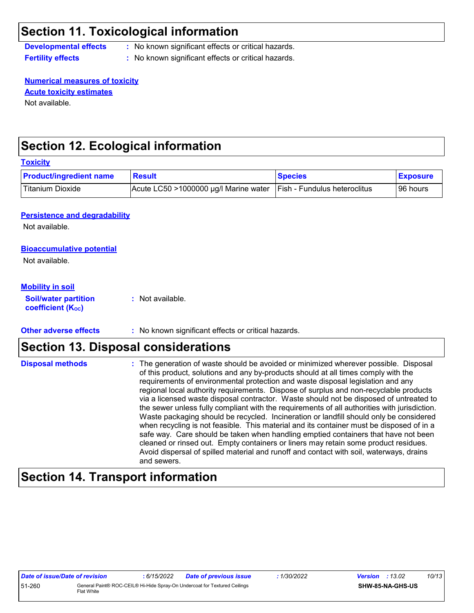### **Section 11. Toxicological information**

**Developmental effects :** No known significant effects or critical hazards.

**Fertility effects :** No known significant effects or critical hazards.

**Numerical measures of toxicity** Not available. **Acute toxicity estimates**

# **Section 12. Ecological information**

| <b>Toxicity</b>                                                                    |                                       |                              |                 |
|------------------------------------------------------------------------------------|---------------------------------------|------------------------------|-----------------|
| <b>Product/ingredient name</b>                                                     | <b>Result</b>                         | <b>Species</b>               | <b>Exposure</b> |
| <b>Titanium Dioxide</b>                                                            | Acute LC50 >1000000 µg/l Marine water | Fish - Fundulus heteroclitus | 96 hours        |
| <b>Persistence and degradability</b><br>Not available.                             |                                       |                              |                 |
| <b>Bioaccumulative potential</b><br>Not available.                                 |                                       |                              |                 |
| <b>Mobility in soil</b><br><b>Soil/water partition</b><br><b>coefficient (Koc)</b> | : Not available.                      |                              |                 |

#### **Other adverse effects** : No known significant effects or critical hazards.

### **Section 13. Disposal considerations**

| <b>Disposal methods</b> | : The generation of waste should be avoided or minimized wherever possible. Disposal<br>of this product, solutions and any by-products should at all times comply with the<br>requirements of environmental protection and waste disposal legislation and any<br>regional local authority requirements. Dispose of surplus and non-recyclable products<br>via a licensed waste disposal contractor. Waste should not be disposed of untreated to<br>the sewer unless fully compliant with the requirements of all authorities with jurisdiction.<br>Waste packaging should be recycled. Incineration or landfill should only be considered<br>when recycling is not feasible. This material and its container must be disposed of in a<br>safe way. Care should be taken when handling emptied containers that have not been<br>cleaned or rinsed out. Empty containers or liners may retain some product residues.<br>Avoid dispersal of spilled material and runoff and contact with soil, waterways, drains |
|-------------------------|----------------------------------------------------------------------------------------------------------------------------------------------------------------------------------------------------------------------------------------------------------------------------------------------------------------------------------------------------------------------------------------------------------------------------------------------------------------------------------------------------------------------------------------------------------------------------------------------------------------------------------------------------------------------------------------------------------------------------------------------------------------------------------------------------------------------------------------------------------------------------------------------------------------------------------------------------------------------------------------------------------------|
|                         | and sewers.                                                                                                                                                                                                                                                                                                                                                                                                                                                                                                                                                                                                                                                                                                                                                                                                                                                                                                                                                                                                    |

### **Section 14. Transport information**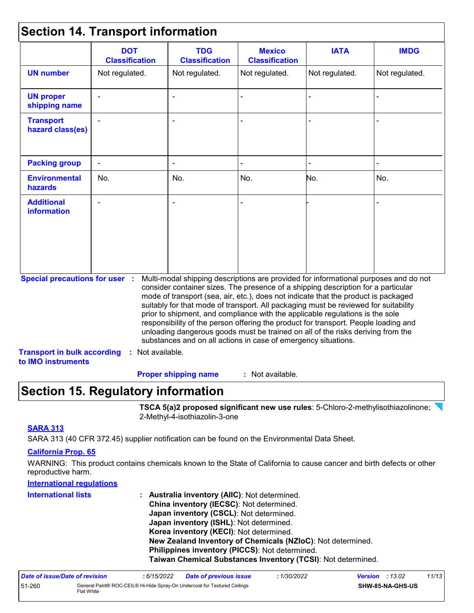# **Section 14. Transport information**

|                                                                             | <b>DOT</b><br><b>Classification</b> | <b>TDG</b><br><b>Classification</b>                            | <b>Mexico</b><br><b>Classification</b> | <b>IATA</b>                                                                                                                                                                                                                                                                                                                                                                                                                                                                                                                                                                                                       | <b>IMDG</b>    |
|-----------------------------------------------------------------------------|-------------------------------------|----------------------------------------------------------------|----------------------------------------|-------------------------------------------------------------------------------------------------------------------------------------------------------------------------------------------------------------------------------------------------------------------------------------------------------------------------------------------------------------------------------------------------------------------------------------------------------------------------------------------------------------------------------------------------------------------------------------------------------------------|----------------|
| <b>UN number</b>                                                            | Not regulated.                      | Not regulated.                                                 | Not regulated.                         | Not regulated.                                                                                                                                                                                                                                                                                                                                                                                                                                                                                                                                                                                                    | Not regulated. |
| <b>UN proper</b><br>shipping name                                           |                                     |                                                                |                                        |                                                                                                                                                                                                                                                                                                                                                                                                                                                                                                                                                                                                                   |                |
| <b>Transport</b><br>hazard class(es)                                        |                                     |                                                                |                                        |                                                                                                                                                                                                                                                                                                                                                                                                                                                                                                                                                                                                                   |                |
| <b>Packing group</b>                                                        | ÷,                                  |                                                                |                                        |                                                                                                                                                                                                                                                                                                                                                                                                                                                                                                                                                                                                                   |                |
| <b>Environmental</b><br>hazards                                             | No.                                 | No.                                                            | No.                                    | No.                                                                                                                                                                                                                                                                                                                                                                                                                                                                                                                                                                                                               | No.            |
| <b>Additional</b><br><b>information</b>                                     |                                     |                                                                |                                        |                                                                                                                                                                                                                                                                                                                                                                                                                                                                                                                                                                                                                   |                |
| <b>Special precautions for user :</b><br><b>Transport in bulk according</b> | : Not available.                    | substances and on all actions in case of emergency situations. |                                        | Multi-modal shipping descriptions are provided for informational purposes and do not<br>consider container sizes. The presence of a shipping description for a particular<br>mode of transport (sea, air, etc.), does not indicate that the product is packaged<br>suitably for that mode of transport. All packaging must be reviewed for suitability<br>prior to shipment, and compliance with the applicable regulations is the sole<br>responsibility of the person offering the product for transport. People loading and<br>unloading dangerous goods must be trained on all of the risks deriving from the |                |

: Not available. **Proper shipping name :**

### **Section 15. Regulatory information**

**TSCA 5(a)2 proposed significant new use rules**: 5-Chloro-2-methylisothiazolinone; 2-Methyl-4-isothiazolin-3-one

#### **SARA 313**

SARA 313 (40 CFR 372.45) supplier notification can be found on the Environmental Data Sheet.

#### **California Prop. 65**

WARNING: This product contains chemicals known to the State of California to cause cancer and birth defects or other reproductive harm.

#### **International regulations**

| <b>International lists</b> | : Australia inventory (AIIC): Not determined.                |
|----------------------------|--------------------------------------------------------------|
|                            | China inventory (IECSC): Not determined.                     |
|                            | Japan inventory (CSCL): Not determined.                      |
|                            | Japan inventory (ISHL): Not determined.                      |
|                            | Korea inventory (KECI): Not determined.                      |
|                            | New Zealand Inventory of Chemicals (NZIoC): Not determined.  |
|                            | Philippines inventory (PICCS): Not determined.               |
|                            | Taiwan Chemical Substances Inventory (TCSI): Not determined. |

| Date of issue/Date of revision |              | 6/15/2022 | <b>Date of previous issue</b>                                             | 1/30/2022 | <b>Version</b> : 13.02 |                         | 11/13 |
|--------------------------------|--------------|-----------|---------------------------------------------------------------------------|-----------|------------------------|-------------------------|-------|
| 51-260                         | Flat White l |           | General Paint® ROC-CEIL® Hi-Hide Spray-On Undercoat for Textured Ceilings |           |                        | <b>SHW-85-NA-GHS-US</b> |       |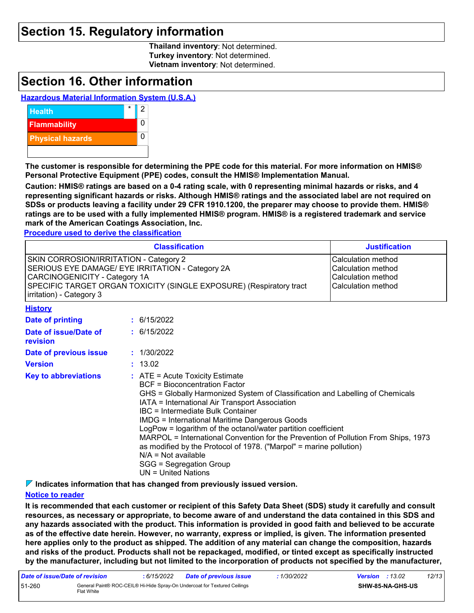### **Section 15. Regulatory information**

**Thailand inventory**: Not determined. **Turkey inventory**: Not determined. **Vietnam inventory**: Not determined.

### **Section 16. Other information**

#### **Hazardous Material Information System (U.S.A.)**



**The customer is responsible for determining the PPE code for this material. For more information on HMIS® Personal Protective Equipment (PPE) codes, consult the HMIS® Implementation Manual.**

**Caution: HMIS® ratings are based on a 0-4 rating scale, with 0 representing minimal hazards or risks, and 4 representing significant hazards or risks. Although HMIS® ratings and the associated label are not required on SDSs or products leaving a facility under 29 CFR 1910.1200, the preparer may choose to provide them. HMIS® ratings are to be used with a fully implemented HMIS® program. HMIS® is a registered trademark and service mark of the American Coatings Association, Inc.**

**Procedure used to derive the classification**

|                                                                                                                                                                                                                                       | <b>Classification</b>                                                                |                                                                                                                                                                                                                                                            |  |
|---------------------------------------------------------------------------------------------------------------------------------------------------------------------------------------------------------------------------------------|--------------------------------------------------------------------------------------|------------------------------------------------------------------------------------------------------------------------------------------------------------------------------------------------------------------------------------------------------------|--|
| SKIN CORROSION/IRRITATION - Category 2<br>SERIOUS EYE DAMAGE/ EYE IRRITATION - Category 2A<br><b>CARCINOGENICITY - Category 1A</b><br>SPECIFIC TARGET ORGAN TOXICITY (SINGLE EXPOSURE) (Respiratory tract<br>irritation) - Category 3 | Calculation method<br>Calculation method<br>Calculation method<br>Calculation method |                                                                                                                                                                                                                                                            |  |
| <b>History</b>                                                                                                                                                                                                                        |                                                                                      |                                                                                                                                                                                                                                                            |  |
| <b>Date of printing</b>                                                                                                                                                                                                               |                                                                                      | : 6/15/2022                                                                                                                                                                                                                                                |  |
| Date of issue/Date of<br>revision                                                                                                                                                                                                     |                                                                                      | : 6/15/2022                                                                                                                                                                                                                                                |  |
| Date of previous issue                                                                                                                                                                                                                |                                                                                      | : 1/30/2022                                                                                                                                                                                                                                                |  |
| <b>Version</b>                                                                                                                                                                                                                        |                                                                                      | : 13.02                                                                                                                                                                                                                                                    |  |
| <b>Key to abbreviations</b>                                                                                                                                                                                                           |                                                                                      | $\therefore$ ATE = Acute Toxicity Estimate<br><b>BCF</b> = Bioconcentration Factor<br>GHS = Globally Harmonized System of Classification and Labelling of Chemicals<br>IATA = International Air Transport Association<br>IBC = Intermediate Bulk Container |  |

IMDG = International Maritime Dangerous Goods LogPow = logarithm of the octanol/water partition coefficient

MARPOL = International Convention for the Prevention of Pollution From Ships, 1973 as modified by the Protocol of 1978. ("Marpol" = marine pollution)  $N/A = Not available$ 

#### SGG = Segregation Group UN = United Nations

**Indicates information that has changed from previously issued version.**

#### **Notice to reader**

**It is recommended that each customer or recipient of this Safety Data Sheet (SDS) study it carefully and consult resources, as necessary or appropriate, to become aware of and understand the data contained in this SDS and any hazards associated with the product. This information is provided in good faith and believed to be accurate as of the effective date herein. However, no warranty, express or implied, is given. The information presented here applies only to the product as shipped. The addition of any material can change the composition, hazards and risks of the product. Products shall not be repackaged, modified, or tinted except as specifically instructed by the manufacturer, including but not limited to the incorporation of products not specified by the manufacturer,**

| Date of issue/Date of revision |            | : 6/15/2022 | <b>Date of previous issue</b>                                             | : 1/30/2022 | <b>Version</b> : $13.02$ |                         | 12/13 |
|--------------------------------|------------|-------------|---------------------------------------------------------------------------|-------------|--------------------------|-------------------------|-------|
| 51-260                         | Flat White |             | General Paint® ROC-CEIL® Hi-Hide Spray-On Undercoat for Textured Ceilings |             |                          | <b>SHW-85-NA-GHS-US</b> |       |